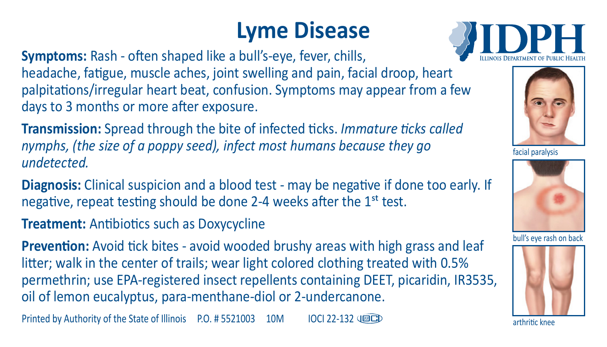## **Lyme Disease**

**Symptoms:** Rash - often shaped like a bull's-eye, fever, chills, headache, fatigue, muscle aches, joint swelling and pain, facial droop, heart palpitations/irregular heart beat, confusion. Symptoms may appear from a few days to 3 months or more after exposure.

**Transmission:** Spread through the bite of infected ticks. *Immature ticks called nymphs, (the size of a poppy seed), infect most humans because they go undetected.*

**Diagnosis:** Clinical suspicion and a blood test - may be negative if done too early. If negative, repeat testing should be done 2-4 weeks after the 1st test.

**Treatment:** Antibiotics such as Doxycycline

**Prevention:** Avoid tick bites - avoid wooded brushy areas with high grass and leaf litter; walk in the center of trails; wear light colored clothing treated with 0.5% permethrin; use EPA-registered insect repellents containing DEET, picaridin, IR3535, oil of lemon eucalyptus, para-menthane-diol or 2-undercanone.

Printed by Authority of the State of Illinois P.O. # 5521003 10M IOCI 22-132 488CD





facial paralysis



bull's eye rash on back